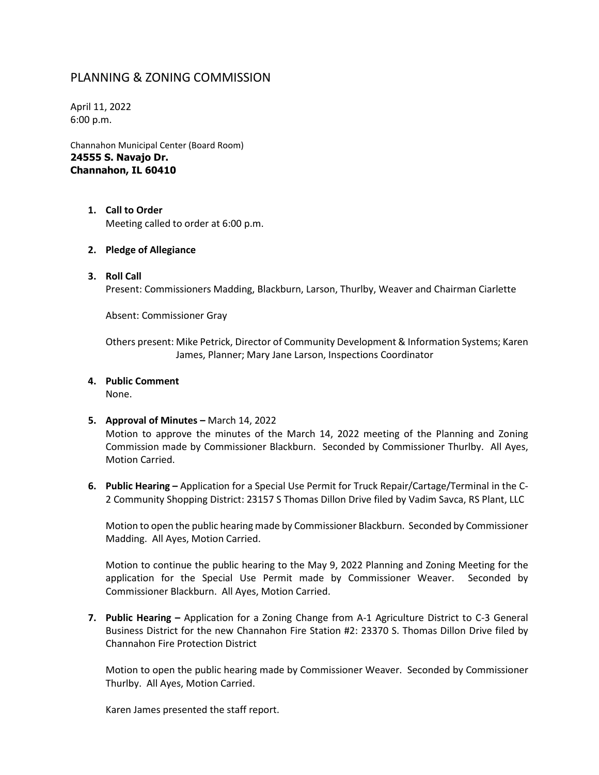## PLANNING & ZONING COMMISSION

April 11, 2022 6:00 p.m.

Channahon Municipal Center (Board Room) **24555 S. Navajo Dr. Channahon, IL 60410**

- **1. Call to Order** Meeting called to order at 6:00 p.m.
- **2. Pledge of Allegiance**
- **3. Roll Call** Present: Commissioners Madding, Blackburn, Larson, Thurlby, Weaver and Chairman Ciarlette

Absent: Commissioner Gray

Others present: Mike Petrick, Director of Community Development & Information Systems; Karen James, Planner; Mary Jane Larson, Inspections Coordinator

- **4. Public Comment** None.
- **5. Approval of Minutes –** March 14, 2022 Motion to approve the minutes of the March 14, 2022 meeting of the Planning and Zoning Commission made by Commissioner Blackburn. Seconded by Commissioner Thurlby. All Ayes, Motion Carried.
- **6. Public Hearing –** Application for a Special Use Permit for Truck Repair/Cartage/Terminal in the C-2 Community Shopping District: 23157 S Thomas Dillon Drive filed by Vadim Savca, RS Plant, LLC

Motion to open the public hearing made by Commissioner Blackburn. Seconded by Commissioner Madding. All Ayes, Motion Carried.

Motion to continue the public hearing to the May 9, 2022 Planning and Zoning Meeting for the application for the Special Use Permit made by Commissioner Weaver. Seconded by Commissioner Blackburn. All Ayes, Motion Carried.

**7. Public Hearing –** Application for a Zoning Change from A-1 Agriculture District to C-3 General Business District for the new Channahon Fire Station #2: 23370 S. Thomas Dillon Drive filed by Channahon Fire Protection District

Motion to open the public hearing made by Commissioner Weaver. Seconded by Commissioner Thurlby. All Ayes, Motion Carried.

Karen James presented the staff report.